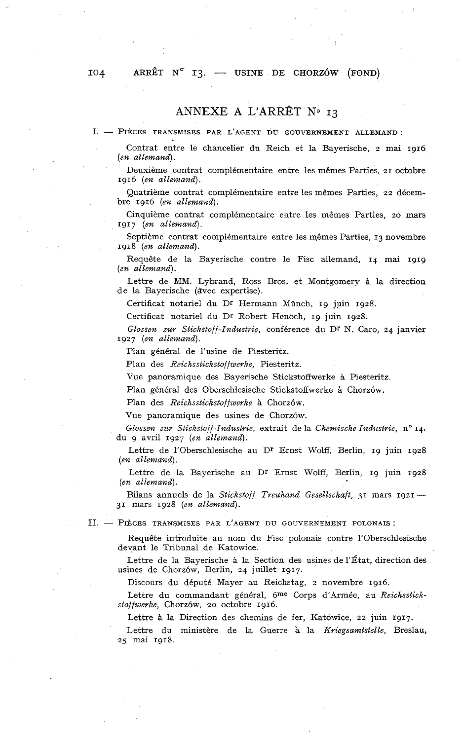## ARRÊT  $N^{\circ}$  I3. — USINE DE CHORZÓW (FOND)

## **ANNEXE A** L'ARRÊT No **13**

I. - PIÈCES TRANSMISES PAR L'AGENT DU GOUVERNEMENT ALLEMAND:

Contrat entre le chancelier du Reich et la Bayerische, 2 mai 1916 *(en allemand).* 

Deuxième contrat complémentaire entre les mêmes Parties, 21 octobre 1916 *(en allemand).* 

Quatrième contrat complémentaire entre les mêmes Parties, 22 décembre 1916 *(en allemand).* 

Cinquième contrat complémentaire entre les mêmes Parties, 20 mars 1917 *(en allemand).* 

Septième contrat complémentaire entre les mêmes Parties, 13 novembre 1918 *(en allemand).* 

Requête de la Bayerische contre le Fisc allemand, 14 mai 1919 *(en allemand).* 

Lettre de MM. Lybrand, Ross Bros. et Montgomery à la direction de la Bayerische (avec expertise).

Certificat notariel du Dr Hermann Münch, 19 juin 1928.

Certificat notariel du Dr Robert Henoch, 19 juin 1928.

*Glossen zur Stickstoff-Industrie,* conférence dn Dr N. Caro, 24 janvier 1927 *(en allemand).* 

Plan général de l'usine de Piesteritz.

Plan des *Reichsstickstoffwerke,* Piesteritz.

Vue panoramique des Bayerische Stickstoffwerke à Piesteritz

Plan général des Oberschlesische Stickstoffwerke à Chorzów.

Plan des *Reichsstickstoffwerke* à Chorzów.

Vue panoramique des usines de Chorzów.

*Glossen zur Stickstoff-Industrie, extrait de la Chemische Industrie, n° 14,* du 9 avril 1927 *(en allemand).* 

Lettre de l'Oberschlesische au Dr Ernst Wolff, Berlin, 19 juin 1928 *(en al lemand).* 

Lettre de la Bayerische au Dr Ernst Wolff, Berlin, 19 juin 1928 *(en allemand).* 

Bilans annuels de la *Stickstoff Treuhand Gesellschaft,* 31 mars 1921 - 31 mars 1928 *(en allemand).* 

II. - PIÈCES TRANSMISES PAR L'AGENT DU GOUVERNEMENT POLONAIS:

Requête introduite au nom du Fisc polonais contre 1'Oberschlesische devant le Tribunal de Katowice.

Lettre de la Bayerische à la Section des usines de l'État, direction des usines de Chorzów, Berlin, 24 juillet 1917.

Discours du député Mayer au Reichstag, 2 novembre 1916.

Lettre du commandant général, 6me Corps d'Armée, au *Reichsstickstoffwerke,* Chorzow, 20 octobre 1916.

Lettre *A* la Direction des chemins de fer, Katowice, 22 juin 1917.

Lettre du ministère de la Guerre à la *Kviegsamtstelle,* Breslau, 25 mai 1918.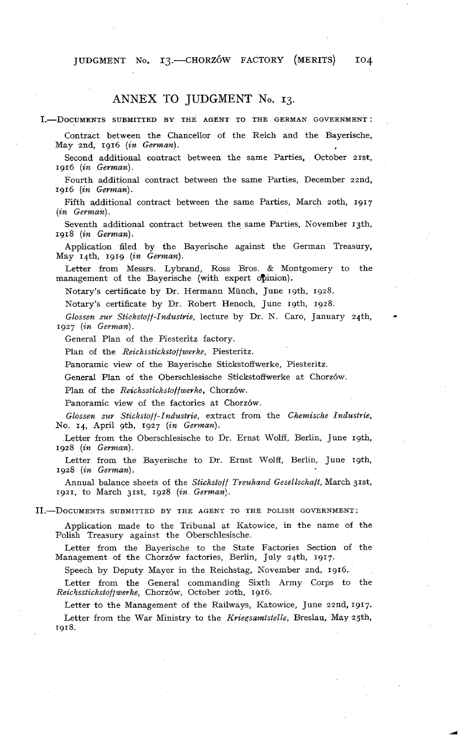JUDGMENT No. 13. - CHORZÓW FACTORY (MERITS) 104

## ANNEX TO JUDGMENT No. 13.

I.-DOCUMENTS SUBMITTED BY THE AGENT TO THE GERMAN GOVERNMENT:

Contract between the Chancellor of the Reich and the Bayerische, May 2nd, 1916 *(in German)*.

Second additional contract between the same Parties, October 21st, 1916 *(in German).* 

Fourth additional contract between the same Parties, December zznd, 1916 *(in German).* 

Fifth additional contract between the same Parties, March zoth, 1917 *(in German).* 

Seventh additional contract between the same Parties, November 13th, 1918 *(in German).* 

Application filed by the Bayerische against the German Treasury, May 14th, 1919 *(in German).* 

Letter from Messrs. Lybrand, Ross Bros. & Montgomery to the management of the Bayensche (with expert opinion).

Notary's certificate by Dr. Hermann Münch, June 19th, 1928.

Notary's certificate by Dr. Robert Henoch, June 19th, 1928.

*Glossen zur Stickstoff-Industrie,* lecture by Dr. N. Caro, January 24th. \* 1927 (in German).

General Plan of the Piesteritz factory.

Plan of the *Reichsstickstoffwerke,* Piesteritz.

Panoramic view of the Bayerische Stickstoffwerke, Piesteritz.

General Plan of the Oberschlesische Stickstoffwerke at Chorzów.

Plan of the *Reichsstickstoffwerke*, Chorzów.

Panoramic view of the factories at Chorzów.

*Glossen zur Stickstoff-Industrie,* extract from the *Chemische industrie,*  No. 14, April gth, 1927 *(in German).* 

Letter from the Oberschlesische to Dr. Ernst Wolff, Berlin, June 19th, 1928 *(in German).* 

Letter from the Bayerische to Dr. Ernst Wolff, Berlin, June 19th, 1928 *(in German).* 

Annual balance sheets of the *Stickstoff Treuhand Gesellschaft*, March 31st, 1921, to March 31st, 1928 *(in German).* 

11.-DOCUMENTS SUBMITTED BY THE AGENT TO THE POLISH GOVERNMENT:

Application made to the Tribunal at Katowice, in the name of the Polish Treasury against the Oberschlesische.

Letter from the Bayerische to the State Factories Section of the Management of the Chorzów factories, Berlin, July 24th, 1917.

Speech by Deputy Mayer in the Reichstag, November znd, 1916.

Letter from the General commanding Sixth Army Corps to the *Reicisstickstoffwerke,* Chorzow, October zoth, 1916.

Letter to the Management of the Railways, Katowice, June 22nd, 1917. Letter from the War Ministry to the *Kriegsamtsfelle,* Breslau. May 25th. 1918.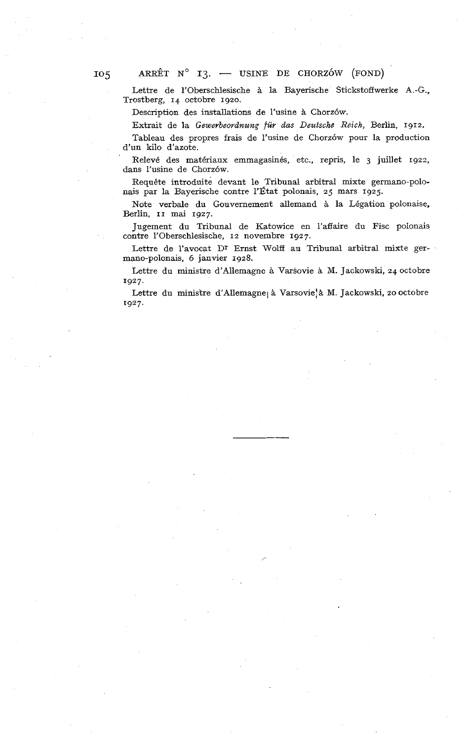Lettre de l'Oberschlesische à la Bayerische Stickstoffwerke A.-G., Trostberg, **14** octobre **1920.** 

Description des installations de l'usine à Chorzów.

Extrait de la *Gewerbeordnung für das Deutsche* Reich, Berlin, **1912.** 

Tableau des propres frais de l'usine de Chorzow pour la production d'un kilo d'azote.

Relevé des matériaux emmagasinés, etc., repris, le **3** juillet **1922,**  dans l'usine de Chorzów.

Requête introduite devant le Tribunal arbitral mixte germano-polonais par la Bayerische contre l'État polonais, **25** mars **1925.** 

Note verbale du Gouvernement allemand à la Légation polonaise, Berlin, **II** mai **1927.** 

Jugement du Tribunal de Katowice en l'affaire du Fisc polonais contre l'Oberschlesische, **12** novembre **1927.** 

Lettre de l'avocat Dr Ernst Wolff au Tribunal arbitral mixte germano-polonais, **6** janvier **1928.** 

Lettre du ministre d'Allemagne à Varsovie à M. Jackowski, **24** octobre **1927.** 

Lettre du ministre d'Allemagne<sub>l</sub> à Varsovie! à M. Jackowski, 20 octobre **1927.**